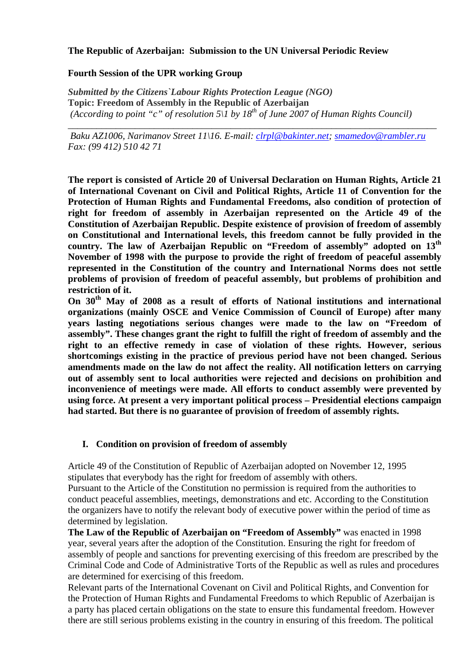## **The Republic of Azerbaijan: Submission to the UN Universal Periodic Review**

## **Fourth Session of the UPR working Group**

*Submitted by the Citizens`Labour Rights Protection League (NGO)*  **Topic: Freedom of Assembly in the Republic of Azerbaijan**  *(According to point "c" of resolution*  $5\overline{1}$  by  $18^{th}$  of June 2007 of Human Rights Council)

 *Baku AZ1006, Narimanov Street 11\16. E-mail: clrpl@bakinter.net; smamedov@rambler.ru Fax: (99 412) 510 42 71* 

*\_\_\_\_\_\_\_\_\_\_\_\_\_\_\_\_\_\_\_\_\_\_\_\_\_\_\_\_\_\_\_\_\_\_\_\_\_\_\_\_\_\_\_\_\_\_\_\_\_\_\_\_\_\_\_\_\_\_\_\_\_\_\_\_\_\_\_\_\_\_\_\_\_\_\_\_\_* 

**The report is consisted of Article 20 of Universal Declaration on Human Rights, Article 21 of International Covenant on Civil and Political Rights, Article 11 of Convention for the Protection of Human Rights and Fundamental Freedoms, also condition of protection of right for freedom of assembly in Azerbaijan represented on the Article 49 of the Constitution of Azerbaijan Republic. Despite existence of provision of freedom of assembly on Constitutional and International levels, this freedom cannot be fully provided in the country. The law of Azerbaijan Republic on "Freedom of assembly" adopted on 13th November of 1998 with the purpose to provide the right of freedom of peaceful assembly represented in the Constitution of the country and International Norms does not settle problems of provision of freedom of peaceful assembly, but problems of prohibition and restriction of it.** 

**On 30th May of 2008 as a result of efforts of National institutions and international organizations (mainly OSCE and Venice Commission of Council of Europe) after many years lasting negotiations serious changes were made to the law on "Freedom of assembly". These changes grant the right to fulfill the right of freedom of assembly and the right to an effective remedy in case of violation of these rights. However, serious shortcomings existing in the practice of previous period have not been changed. Serious amendments made on the law do not affect the reality. All notification letters on carrying out of assembly sent to local authorities were rejected and decisions on prohibition and inconvenience of meetings were made. All efforts to conduct assembly were prevented by using force. At present a very important political process – Presidential elections campaign had started. But there is no guarantee of provision of freedom of assembly rights.** 

#### **I. Condition on provision of freedom of assembly**

Article 49 of the Constitution of Republic of Azerbaijan adopted on November 12, 1995 stipulates that everybody has the right for freedom of assembly with others.

Pursuant to the Article of the Constitution no permission is required from the authorities to conduct peaceful assemblies, meetings, demonstrations and etc. According to the Constitution the organizers have to notify the relevant body of executive power within the period of time as determined by legislation.

**The Law of the Republic of Azerbaijan on "Freedom of Assembly"** was enacted in 1998 year, several years after the adoption of the Constitution. Ensuring the right for freedom of assembly of people and sanctions for preventing exercising of this freedom are prescribed by the Criminal Code and Code of Administrative Torts of the Republic as well as rules and procedures are determined for exercising of this freedom.

Relevant parts of the International Covenant on Civil and Political Rights, and Convention for the Protection of Human Rights and Fundamental Freedoms to which Republic of Azerbaijan is a party has placed certain obligations on the state to ensure this fundamental freedom. However there are still serious problems existing in the country in ensuring of this freedom. The political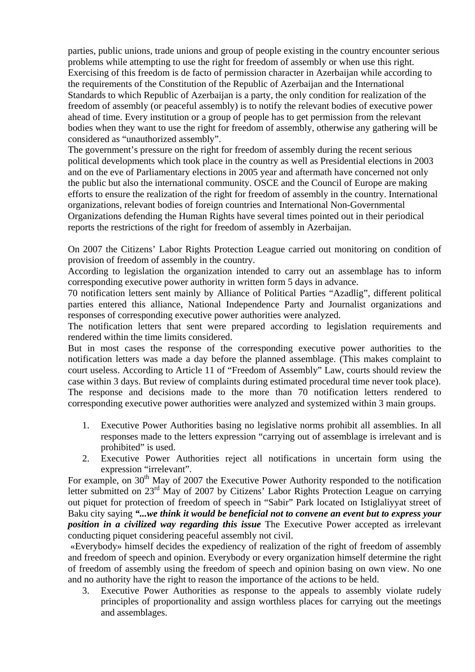parties, public unions, trade unions and group of people existing in the country encounter serious problems while attempting to use the right for freedom of assembly or when use this right. Exercising of this freedom is de facto of permission character in Azerbaijan while according to the requirements of the Constitution of the Republic of Azerbaijan and the International Standards to which Republic of Azerbaijan is a party, the only condition for realization of the freedom of assembly (or peaceful assembly) is to notify the relevant bodies of executive power ahead of time. Every institution or a group of people has to get permission from the relevant bodies when they want to use the right for freedom of assembly, otherwise any gathering will be considered as "unauthorized assembly".

The government's pressure on the right for freedom of assembly during the recent serious political developments which took place in the country as well as Presidential elections in 2003 and on the eve of Parliamentary elections in 2005 year and aftermath have concerned not only the public but also the international community. OSCE and the Council of Europe are making efforts to ensure the realization of the right for freedom of assembly in the country. International organizations, relevant bodies of foreign countries and International Non-Governmental Organizations defending the Human Rights have several times pointed out in their periodical reports the restrictions of the right for freedom of assembly in Azerbaijan.

On 2007 the Citizens' Labor Rights Protection League carried out monitoring on condition of provision of freedom of assembly in the country.

According to legislation the organization intended to carry out an assemblage has to inform corresponding executive power authority in written form 5 days in advance.

70 notification letters sent mainly by Alliance of Political Parties "Azadlig", different political parties entered this alliance, National Independence Party and Journalist organizations and responses of corresponding executive power authorities were analyzed.

The notification letters that sent were prepared according to legislation requirements and rendered within the time limits considered.

But in most cases the response of the corresponding executive power authorities to the notification letters was made a day before the planned assemblage. (This makes complaint to court useless. According to Article 11 of "Freedom of Assembly" Law, courts should review the case within 3 days. But review of complaints during estimated procedural time never took place). The response and decisions made to the more than 70 notification letters rendered to corresponding executive power authorities were analyzed and systemized within 3 main groups.

- 1. Executive Power Authorities basing no legislative norms prohibit all assemblies. In all responses made to the letters expression "carrying out of assemblage is irrelevant and is prohibited" is used.
- 2. Executive Power Authorities reject all notifications in uncertain form using the expression "irrelevant".

For example, on 30<sup>th</sup> May of 2007 the Executive Power Authority responded to the notification letter submitted on 23<sup>rd</sup> May of 2007 by Citizens' Labor Rights Protection League on carrying out piquet for protection of freedom of speech in "Sabir" Park located on Istiglaliyyat street of Baku city saying *"...we think it would be beneficial not to convene an event but to express your position in a civilized way regarding this issue* The Executive Power accepted as irrelevant conducting piquet considering peaceful assembly not civil.

 «Everybody» himself decides the expediency of realization of the right of freedom of assembly and freedom of speech and opinion. Everybody or every organization himself determine the right of freedom of assembly using the freedom of speech and opinion basing on own view. No one and no authority have the right to reason the importance of the actions to be held.

3. Executive Power Authorities as response to the appeals to assembly violate rudely principles of proportionality and assign worthless places for carrying out the meetings and assemblages.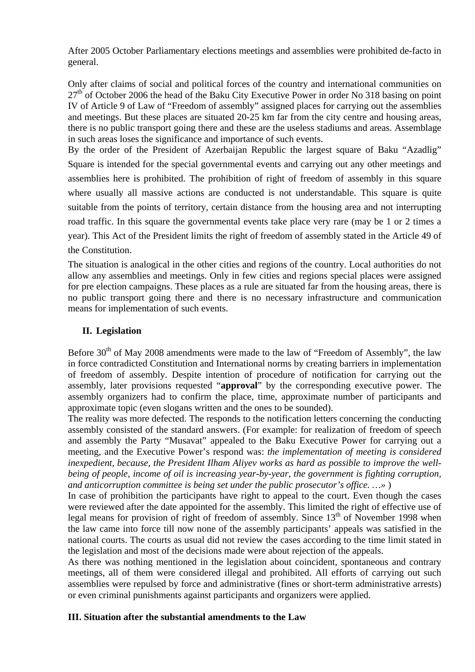After 2005 October Parliamentary elections meetings and assemblies were prohibited de-facto in general.

Only after claims of social and political forces of the country and international communities on  $27<sup>th</sup>$  of October 2006 the head of the Baku City Executive Power in order No 318 basing on point IV of Article 9 of Law of "Freedom of assembly" assigned places for carrying out the assemblies and meetings. But these places are situated 20-25 km far from the city centre and housing areas, there is no public transport going there and these are the useless stadiums and areas. Assemblage in such areas loses the significance and importance of such events.

By the order of the President of Azerbaijan Republic the largest square of Baku "Azadlig" Square is intended for the special governmental events and carrying out any other meetings and assemblies here is prohibited. The prohibition of right of freedom of assembly in this square where usually all massive actions are conducted is not understandable. This square is quite suitable from the points of territory, certain distance from the housing area and not interrupting road traffic. In this square the governmental events take place very rare (may be 1 or 2 times a year). This Act of the President limits the right of freedom of assembly stated in the Article 49 of the Constitution.

The situation is analogical in the other cities and regions of the country. Local authorities do not allow any assemblies and meetings. Only in few cities and regions special places were assigned for pre election campaigns. These places as a rule are situated far from the housing areas, there is no public transport going there and there is no necessary infrastructure and communication means for implementation of such events.

# **II. Legislation**

Before 30<sup>th</sup> of May 2008 amendments were made to the law of "Freedom of Assembly", the law in force contradicted Constitution and International norms by creating barriers in implementation of freedom of assembly. Despite intention of procedure of notification for carrying out the assembly, later provisions requested "**approval**" by the corresponding executive power. The assembly organizers had to confirm the place, time, approximate number of participants and approximate topic (even slogans written and the ones to be sounded).

The reality was more defected. The responds to the notification letters concerning the conducting assembly consisted of the standard answers. (For example: for realization of freedom of speech and assembly the Party "Musavat" appealed to the Baku Executive Power for carrying out a meeting, and the Executive Power's respond was: *the implementation of meeting is considered inexpedient, because, the President Ilham Aliyev works as hard as possible to improve the wellbeing of people, income of oil is increasing year-by-year, the government is fighting corruption, and anticorruption committee is being set under the public prosecutor's office. …»* )

In case of prohibition the participants have right to appeal to the court. Even though the cases were reviewed after the date appointed for the assembly. This limited the right of effective use of legal means for provision of right of freedom of assembly. Since 13<sup>th</sup> of November 1998 when the law came into force till now none of the assembly participants' appeals was satisfied in the national courts. The courts as usual did not review the cases according to the time limit stated in the legislation and most of the decisions made were about rejection of the appeals.

As there was nothing mentioned in the legislation about coincident, spontaneous and contrary meetings, all of them were considered illegal and prohibited. All efforts of carrying out such assemblies were repulsed by force and administrative (fines or short-term administrative arrests) or even criminal punishments against participants and organizers were applied.

# **III. Situation after the substantial amendments to the Law**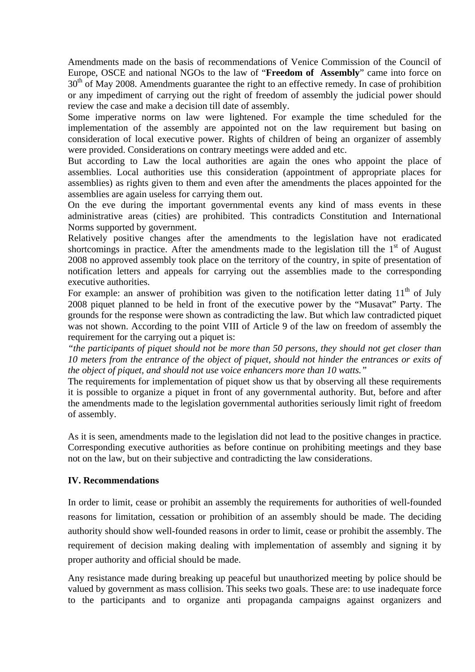Amendments made on the basis of recommendations of Venice Commission of the Council of Europe, OSCE and national NGOs to the law of "**Freedom of Assembly**" came into force on  $30<sup>th</sup>$  of May 2008. Amendments guarantee the right to an effective remedy. In case of prohibition or any impediment of carrying out the right of freedom of assembly the judicial power should review the case and make a decision till date of assembly.

Some imperative norms on law were lightened. For example the time scheduled for the implementation of the assembly are appointed not on the law requirement but basing on consideration of local executive power. Rights of children of being an organizer of assembly were provided. Considerations on contrary meetings were added and etc.

But according to Law the local authorities are again the ones who appoint the place of assemblies. Local authorities use this consideration (appointment of appropriate places for assemblies) as rights given to them and even after the amendments the places appointed for the assemblies are again useless for carrying them out.

On the eve during the important governmental events any kind of mass events in these administrative areas (cities) are prohibited. This contradicts Constitution and International Norms supported by government.

Relatively positive changes after the amendments to the legislation have not eradicated shortcomings in practice. After the amendments made to the legislation till the  $1<sup>st</sup>$  of August 2008 no approved assembly took place on the territory of the country, in spite of presentation of notification letters and appeals for carrying out the assemblies made to the corresponding executive authorities.

For example: an answer of prohibition was given to the notification letter dating  $11<sup>th</sup>$  of July 2008 piquet planned to be held in front of the executive power by the "Musavat" Party. The grounds for the response were shown as contradicting the law. But which law contradicted piquet was not shown. According to the point VIII of Article 9 of the law on freedom of assembly the requirement for the carrying out a piquet is:

*"the participants of piquet should not be more than 50 persons, they should not get closer than 10 meters from the entrance of the object of piquet, should not hinder the entrances or exits of the object of piquet, and should not use voice enhancers more than 10 watts."* 

The requirements for implementation of piquet show us that by observing all these requirements it is possible to organize a piquet in front of any governmental authority. But, before and after the amendments made to the legislation governmental authorities seriously limit right of freedom of assembly.

As it is seen, amendments made to the legislation did not lead to the positive changes in practice. Corresponding executive authorities as before continue on prohibiting meetings and they base not on the law, but on their subjective and contradicting the law considerations.

# **IV. Recommendations**

In order to limit, cease or prohibit an assembly the requirements for authorities of well-founded reasons for limitation, cessation or prohibition of an assembly should be made. The deciding authority should show well-founded reasons in order to limit, cease or prohibit the assembly. The requirement of decision making dealing with implementation of assembly and signing it by proper authority and official should be made.

Any resistance made during breaking up peaceful but unauthorized meeting by police should be valued by government as mass collision. This seeks two goals. These are: to use inadequate force to the participants and to organize anti propaganda campaigns against organizers and